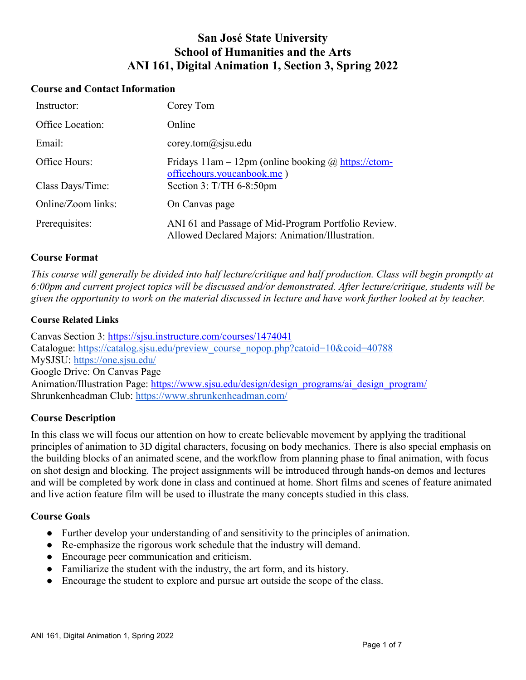# **San José State University School of Humanities and the Arts ANI 161, Digital Animation 1, Section 3, Spring 2022**

#### **Course and Contact Information**

| Instructor:        | Corey Tom                                                                                               |
|--------------------|---------------------------------------------------------------------------------------------------------|
| Office Location:   | Online                                                                                                  |
| Email:             | corey.tom@ssjsu.edu                                                                                     |
| Office Hours:      | Fridays $11$ am – $12$ pm (online booking @ https://ctom-<br>officehours.youcanbook.me)                 |
| Class Days/Time:   | Section $3: T/TH$ 6-8:50pm                                                                              |
| Online/Zoom links: | On Canvas page                                                                                          |
| Prerequisites:     | ANI 61 and Passage of Mid-Program Portfolio Review.<br>Allowed Declared Majors: Animation/Illustration. |

### **Course Format**

*This course will generally be divided into half lecture/critique and half production. Class will begin promptly at 6:00pm and current project topics will be discussed and/or demonstrated. After lecture/critique, students will be given the opportunity to work on the material discussed in lecture and have work further looked at by teacher.*

#### **Course Related Links**

Canvas Section 3:<https://sjsu.instructure.com/courses/1474041> Catalogue: [https://catalog.sjsu.edu/preview\\_course\\_nopop.php?catoid=10&coid=40788](https://catalog.sjsu.edu/preview_course_nopop.php?catoid=10&coid=40788) MySJSU:<https://one.sjsu.edu/> Google Drive: On Canvas Page Animation/Illustration Page: [https://www.sjsu.edu/design/design\\_programs/ai\\_design\\_program/](https://www.sjsu.edu/design/design_programs/ai_design_program/) Shrunkenheadman Club:<https://www.shrunkenheadman.com/>

### **Course Description**

In this class we will focus our attention on how to create believable movement by applying the traditional principles of animation to 3D digital characters, focusing on body mechanics. There is also special emphasis on the building blocks of an animated scene, and the workflow from planning phase to final animation, with focus on shot design and blocking. The project assignments will be introduced through hands-on demos and lectures and will be completed by work done in class and continued at home. Short films and scenes of feature animated and live action feature film will be used to illustrate the many concepts studied in this class.

### **Course Goals**

- Further develop your understanding of and sensitivity to the principles of animation.
- Re-emphasize the rigorous work schedule that the industry will demand.
- Encourage peer communication and criticism.
- Familiarize the student with the industry, the art form, and its history.
- Encourage the student to explore and pursue art outside the scope of the class.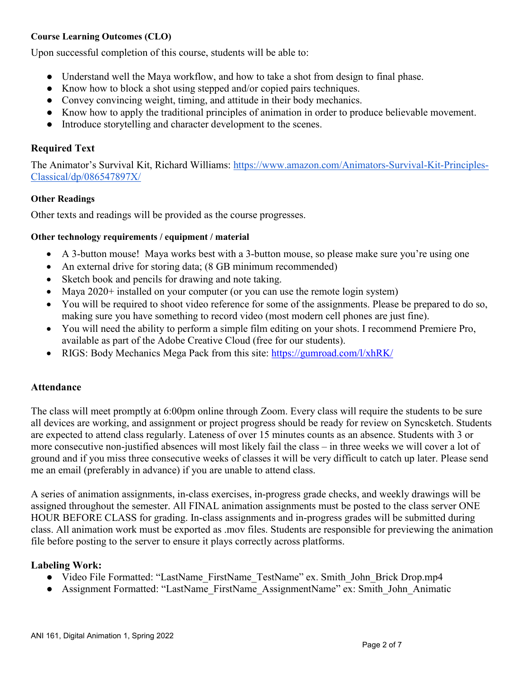### **Course Learning Outcomes (CLO)**

Upon successful completion of this course, students will be able to:

- Understand well the Maya workflow, and how to take a shot from design to final phase.
- Know how to block a shot using stepped and/or copied pairs techniques.
- Convey convincing weight, timing, and attitude in their body mechanics.
- Know how to apply the traditional principles of animation in order to produce believable movement.
- Introduce storytelling and character development to the scenes.

### **Required Text**

The Animator's Survival Kit, Richard Williams: [https://www.amazon.com/Animators-Survival-Kit-Principles-](https://www.amazon.com/Animators-Survival-Kit-Principles-Classical/dp/086547897X/)[Classical/dp/086547897X/](https://www.amazon.com/Animators-Survival-Kit-Principles-Classical/dp/086547897X/)

### **Other Readings**

Other texts and readings will be provided as the course progresses.

#### **Other technology requirements / equipment / material**

- A 3-button mouse! Maya works best with a 3-button mouse, so please make sure you're using one
- An external drive for storing data; (8 GB minimum recommended)
- Sketch book and pencils for drawing and note taking.
- Maya 2020+ installed on your computer (or you can use the remote login system)
- You will be required to shoot video reference for some of the assignments. Please be prepared to do so, making sure you have something to record video (most modern cell phones are just fine).
- You will need the ability to perform a simple film editing on your shots. I recommend Premiere Pro, available as part of the Adobe Creative Cloud (free for our students).
- RIGS: Body Mechanics Mega Pack from this site:<https://gumroad.com/l/xhRK/>

### **Attendance**

The class will meet promptly at 6:00pm online through Zoom. Every class will require the students to be sure all devices are working, and assignment or project progress should be ready for review on Syncsketch. Students are expected to attend class regularly. Lateness of over 15 minutes counts as an absence. Students with 3 or more consecutive non-justified absences will most likely fail the class – in three weeks we will cover a lot of ground and if you miss three consecutive weeks of classes it will be very difficult to catch up later. Please send me an email (preferably in advance) if you are unable to attend class.

A series of animation assignments, in-class exercises, in-progress grade checks, and weekly drawings will be assigned throughout the semester. All FINAL animation assignments must be posted to the class server ONE HOUR BEFORE CLASS for grading. In-class assignments and in-progress grades will be submitted during class. All animation work must be exported as .mov files. Students are responsible for previewing the animation file before posting to the server to ensure it plays correctly across platforms.

### **Labeling Work:**

- Video File Formatted: "LastName\_FirstName\_TestName" ex. Smith\_John\_Brick Drop.mp4
- Assignment Formatted: "LastName\_FirstName\_AssignmentName" ex: Smith\_John\_Animatic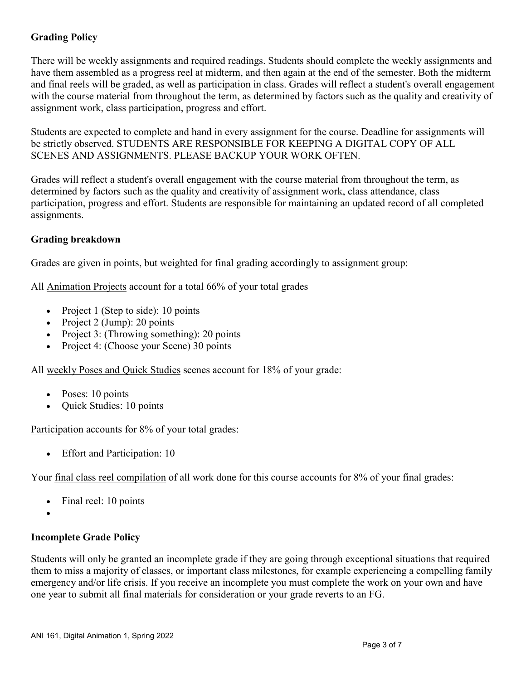# **Grading Policy**

There will be weekly assignments and required readings. Students should complete the weekly assignments and have them assembled as a progress reel at midterm, and then again at the end of the semester. Both the midterm and final reels will be graded, as well as participation in class. Grades will reflect a student's overall engagement with the course material from throughout the term, as determined by factors such as the quality and creativity of assignment work, class participation, progress and effort.

Students are expected to complete and hand in every assignment for the course. Deadline for assignments will be strictly observed. STUDENTS ARE RESPONSIBLE FOR KEEPING A DIGITAL COPY OF ALL SCENES AND ASSIGNMENTS. PLEASE BACKUP YOUR WORK OFTEN.

Grades will reflect a student's overall engagement with the course material from throughout the term, as determined by factors such as the quality and creativity of assignment work, class attendance, class participation, progress and effort. Students are responsible for maintaining an updated record of all completed assignments.

# **Grading breakdown**

Grades are given in points, but weighted for final grading accordingly to assignment group:

All Animation Projects account for a total 66% of your total grades

- Project 1 (Step to side): 10 points
- Project 2 (Jump): 20 points
- Project 3: (Throwing something): 20 points
- Project 4: (Choose your Scene) 30 points

All weekly Poses and Quick Studies scenes account for 18% of your grade:

- Poses: 10 points
- Quick Studies: 10 points

Participation accounts for 8% of your total grades:

• Effort and Participation: 10

Your final class reel compilation of all work done for this course accounts for 8% of your final grades:

- Final reel: 10 points
- •

# **Incomplete Grade Policy**

Students will only be granted an incomplete grade if they are going through exceptional situations that required them to miss a majority of classes, or important class milestones, for example experiencing a compelling family emergency and/or life crisis. If you receive an incomplete you must complete the work on your own and have one year to submit all final materials for consideration or your grade reverts to an FG.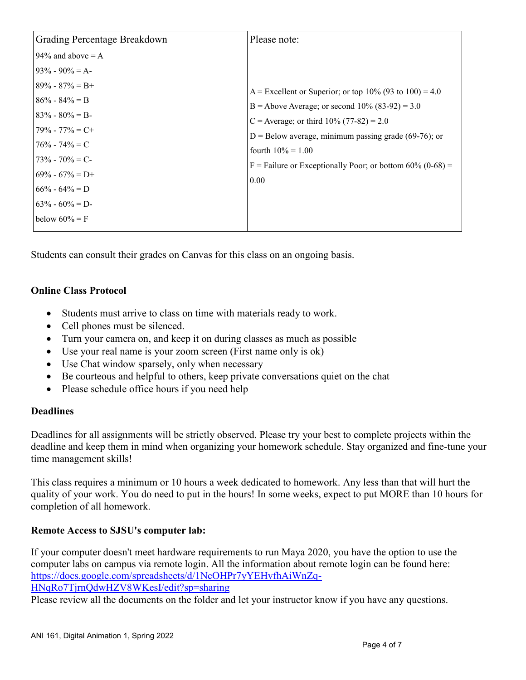| Grading Percentage Breakdown                                                                                                                                                                                                                                    | Please note:                                                                                                                                                                                                                                                                                                         |
|-----------------------------------------------------------------------------------------------------------------------------------------------------------------------------------------------------------------------------------------------------------------|----------------------------------------------------------------------------------------------------------------------------------------------------------------------------------------------------------------------------------------------------------------------------------------------------------------------|
| 94% and above $= A$<br>$93\% - 90\% = A$<br>$89\% - 87\% = B +$<br>$86\% - 84\% = B$<br>$83\% - 80\% = B$<br>$79\% - 77\% = C +$<br>$76\% - 74\% = C$<br>$173\% - 70\% = C$<br>$69\% - 67\% = D+$<br>$66\% - 64\% = D$<br>$63\% - 60\% = D$<br>below $60\% = F$ | A = Excellent or Superior; or top 10% (93 to 100) = 4.0<br>B = Above Average; or second $10\%$ (83-92) = 3.0<br>C = Average; or third $10\%$ (77-82) = 2.0<br>$D =$ Below average, minimum passing grade (69-76); or<br>fourth $10\% = 1.00$<br>F = Failure or Exceptionally Poor; or bottom $60\%$ (0-68) =<br>0.00 |

Students can consult their grades on Canvas for this class on an ongoing basis.

# **Online Class Protocol**

- Students must arrive to class on time with materials ready to work.
- Cell phones must be silenced.
- Turn your camera on, and keep it on during classes as much as possible
- Use your real name is your zoom screen (First name only is ok)
- Use Chat window sparsely, only when necessary
- Be courteous and helpful to others, keep private conversations quiet on the chat
- Please schedule office hours if you need help

# **Deadlines**

Deadlines for all assignments will be strictly observed. Please try your best to complete projects within the deadline and keep them in mind when organizing your homework schedule. Stay organized and fine-tune your time management skills!

This class requires a minimum or 10 hours a week dedicated to homework. Any less than that will hurt the quality of your work. You do need to put in the hours! In some weeks, expect to put MORE than 10 hours for completion of all homework.

# **Remote Access to SJSU's computer lab:**

If your computer doesn't meet hardware requirements to run Maya 2020, you have the option to use the computer labs on campus via remote login. All the information about remote login can be found here: [https://docs.google.com/spreadsheets/d/1NcOHPr7yYEHvfhAiWnZq-](https://docs.google.com/spreadsheets/d/1NcOHPr7yYEHvfhAiWnZq-HNqRo7TjrnQdwHZV8WKesI/edit?sp=sharing)[HNqRo7TjrnQdwHZV8WKesI/edit?sp=sharing](https://docs.google.com/spreadsheets/d/1NcOHPr7yYEHvfhAiWnZq-HNqRo7TjrnQdwHZV8WKesI/edit?sp=sharing)

Please review all the documents on the folder and let your instructor know if you have any questions.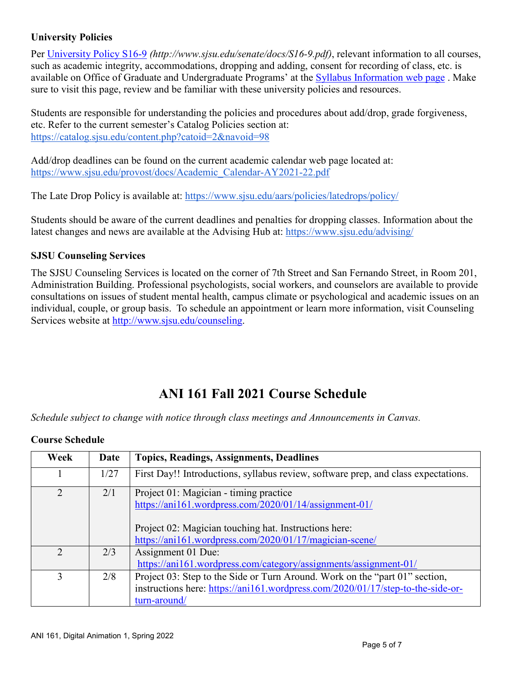# **University Policies**

Per [University Policy S16-9](http://www.sjsu.edu/senate/docs/S16-9.pdf) *(http://www.sjsu.edu/senate/docs/S16-9.pdf)*, relevant information to all courses, such as academic integrity, accommodations, dropping and adding, consent for recording of class, etc. is available on Office of Graduate and Undergraduate Programs' at the [Syllabus Information web page](http://www.sjsu.edu/gup/syllabusinfo/) . Make sure to visit this page, review and be familiar with these university policies and resources.

Students are responsible for understanding the policies and procedures about add/drop, grade forgiveness, etc. Refer to the current semester's Catalog Policies section at: <https://catalog.sjsu.edu/content.php?catoid=2&navoid=98>

Add/drop deadlines can be found on the current academic calendar web page located at: [https://www.sjsu.edu/provost/docs/Academic\\_Calendar-AY2021-22.pdf](https://www.sjsu.edu/provost/docs/Academic_Calendar-AY2021-22.pdf)

The Late Drop Policy is available at:<https://www.sjsu.edu/aars/policies/latedrops/policy/>

Students should be aware of the current deadlines and penalties for dropping classes. Information about the latest changes and news are available at the Advising Hub at:<https://www.sjsu.edu/advising/>

# **SJSU Counseling Services**

The SJSU Counseling Services is located on the corner of 7th Street and San Fernando Street, in Room 201, Administration Building. Professional psychologists, social workers, and counselors are available to provide consultations on issues of student mental health, campus climate or psychological and academic issues on an individual, couple, or group basis. To schedule an appointment or learn more information, visit Counseling Services website at [http://www.sjsu.edu/counseling.](http://www.sjsu.edu/counseling)

# **ANI 161 Fall 2021 Course Schedule**

*Schedule subject to change with notice through class meetings and Announcements in Canvas.*

| Week          | Date | <b>Topics, Readings, Assignments, Deadlines</b>                                    |
|---------------|------|------------------------------------------------------------------------------------|
|               | 1/27 | First Day!! Introductions, syllabus review, software prep, and class expectations. |
| 2             | 2/1  | Project 01: Magician - timing practice                                             |
|               |      | https://ani161.wordpress.com/2020/01/14/assignment-01/                             |
|               |      | Project 02: Magician touching hat. Instructions here:                              |
|               |      | https://ani161.wordpress.com/2020/01/17/magician-scene/                            |
| $\mathcal{D}$ | 2/3  | Assignment 01 Due:                                                                 |
|               |      | https://ani161.wordpress.com/category/assignments/assignment-01/                   |
| 3             | 2/8  | Project 03: Step to the Side or Turn Around. Work on the "part 01" section,        |
|               |      | instructions here: https://ani161.wordpress.com/2020/01/17/step-to-the-side-or-    |
|               |      | turn-around/                                                                       |

# **Course Schedule**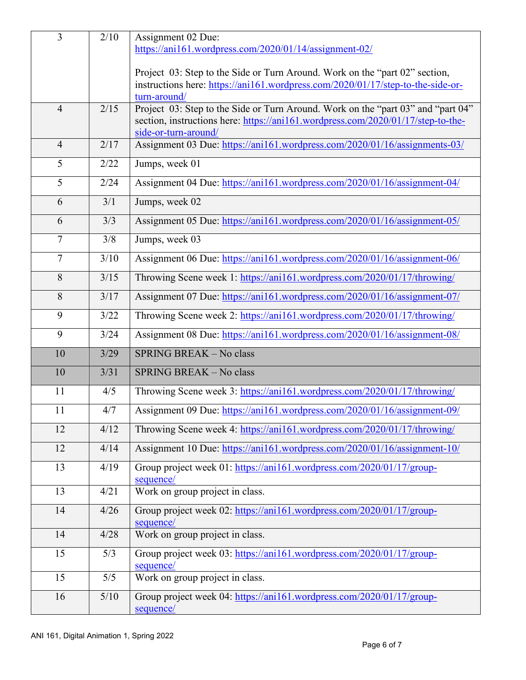| $\overline{3}$ | 2/10   | Assignment 02 Due:                                                                 |
|----------------|--------|------------------------------------------------------------------------------------|
|                |        | https://ani161.wordpress.com/2020/01/14/assignment-02/                             |
|                |        |                                                                                    |
|                |        | Project 03: Step to the Side or Turn Around. Work on the "part 02" section,        |
|                |        | instructions here: https://ani161.wordpress.com/2020/01/17/step-to-the-side-or-    |
|                |        | turn-around/                                                                       |
| $\overline{4}$ | 2/15   | Project 03: Step to the Side or Turn Around. Work on the "part 03" and "part 04"   |
|                |        | section, instructions here: https://ani161.wordpress.com/2020/01/17/step-to-the-   |
|                |        | side-or-turn-around/                                                               |
| $\overline{4}$ | 2/17   | Assignment 03 Due: https://ani161.wordpress.com/2020/01/16/assignments-03/         |
| 5              | 2/22   | Jumps, week 01                                                                     |
| 5              | 2/24   | Assignment 04 Due: https://ani161.wordpress.com/2020/01/16/assignment-04/          |
| 6              | 3/1    | Jumps, week 02                                                                     |
| 6              | 3/3    | Assignment 05 Due: https://ani161.wordpress.com/2020/01/16/assignment-05/          |
| $\tau$         | 3/8    | Jumps, week 03                                                                     |
| $\overline{7}$ | 3/10   | Assignment 06 Due: https://ani161.wordpress.com/2020/01/16/assignment-06/          |
| 8              | 3/15   | Throwing Scene week 1: https://ani161.wordpress.com/2020/01/17/throwing/           |
| 8              | 3/17   | Assignment 07 Due: https://ani161.wordpress.com/2020/01/16/assignment-07/          |
| 9              | 3/22   | Throwing Scene week 2: https://ani161.wordpress.com/2020/01/17/throwing/           |
| 9              | 3/24   | Assignment 08 Due: https://ani161.wordpress.com/2020/01/16/assignment-08/          |
| 10             | 3/29   | SPRING BREAK - No class                                                            |
| 10             | 3/31   | SPRING BREAK - No class                                                            |
| 11             | 4/5    | Throwing Scene week 3: https://ani161.wordpress.com/2020/01/17/throwing/           |
| 11             | 4/7    | Assignment 09 Due: https://ani161.wordpress.com/2020/01/16/assignment-09/          |
| 12             | 4/12   | Throwing Scene week 4: https://ani161.wordpress.com/2020/01/17/throwing/           |
| 12             | 4/14   | Assignment 10 Due: https://ani161.wordpress.com/2020/01/16/assignment-10/          |
| 13             | 4/19   | Group project week 01: https://ani161.wordpress.com/2020/01/17/group-<br>sequence/ |
| 13             | 4/21   | Work on group project in class.                                                    |
| 14             | 4/26   | Group project week 02: https://ani161.wordpress.com/2020/01/17/group-              |
|                |        | sequence/                                                                          |
| 14             | 4/28   | Work on group project in class.                                                    |
| 15             | 5/3    | Group project week 03: https://ani161.wordpress.com/2020/01/17/group-<br>sequence/ |
| 15             | 5/5    | Work on group project in class.                                                    |
| 16             | $5/10$ | Group project week 04: https://ani161.wordpress.com/2020/01/17/group-              |
|                |        | sequence/                                                                          |
|                |        |                                                                                    |